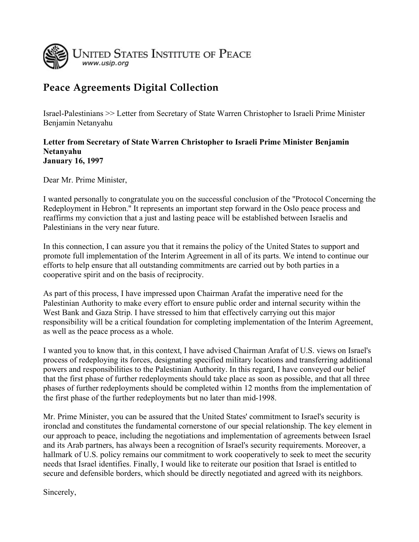

## **Peace Agreements Digital Collection**

Israel-Palestinians >> Letter from Secretary of State Warren Christopher to Israeli Prime Minister Benjamin Netanyahu

## **Letter from Secretary of State Warren Christopher to Israeli Prime Minister Benjamin Netanyahu January 16, 1997**

Dear Mr. Prime Minister,

I wanted personally to congratulate you on the successful conclusion of the ''Protocol Concerning the Redeployment in Hebron.'' It represents an important step forward in the Oslo peace process and reaffirms my conviction that a just and lasting peace will be established between Israelis and Palestinians in the very near future.

In this connection, I can assure you that it remains the policy of the United States to support and promote full implementation of the Interim Agreement in all of its parts. We intend to continue our efforts to help ensure that all outstanding commitments are carried out by both parties in a cooperative spirit and on the basis of reciprocity.

As part of this process, I have impressed upon Chairman Arafat the imperative need for the Palestinian Authority to make every effort to ensure public order and internal security within the West Bank and Gaza Strip. I have stressed to him that effectively carrying out this major responsibility will be a critical foundation for completing implementation of the Interim Agreement, as well as the peace process as a whole.

I wanted you to know that, in this context, I have advised Chairman Arafat of U.S. views on Israel's process of redeploying its forces, designating specified military locations and transferring additional powers and responsibilities to the Palestinian Authority. In this regard, I have conveyed our belief that the first phase of further redeployments should take place as soon as possible, and that all three phases of further redeployments should be completed within 12 months from the implementation of the first phase of the further redeployments but no later than mid-1998.

Mr. Prime Minister, you can be assured that the United States' commitment to Israel's security is ironclad and constitutes the fundamental cornerstone of our special relationship. The key element in our approach to peace, including the negotiations and implementation of agreements between Israel and its Arab partners, has always been a recognition of Israel's security requirements. Moreover, a hallmark of U.S. policy remains our commitment to work cooperatively to seek to meet the security needs that Israel identifies. Finally, I would like to reiterate our position that Israel is entitled to secure and defensible borders, which should be directly negotiated and agreed with its neighbors.

Sincerely,